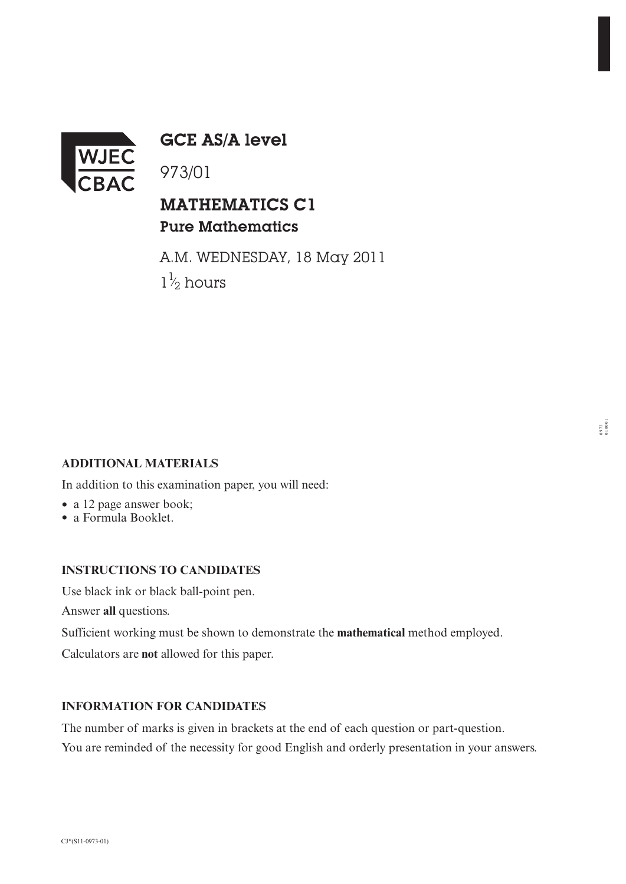

GCE AS/A level

973/01

## MATHEMATICS C1 Pure Mathematics

A.M. WEDNESDAY, 18 May 2011  $1\frac{1}{2}$  hours ⁄∕

#### **ADDITIONAL MATERIALS**

In addition to this examination paper, you will need:

- a 12 page answer book;
- a Formula Booklet.

### **INSTRUCTIONS TO CANDIDATES**

Use black ink or black ball-point pen.

Answer **all** questions.

Sufficient working must be shown to demonstrate the **mathematical** method employed.

Calculators are **not** allowed for this paper.

### **INFORMATION FOR CANDIDATES**

The number of marks is given in brackets at the end of each question or part-question. You are reminded of the necessity for good English and orderly presentation in your answers.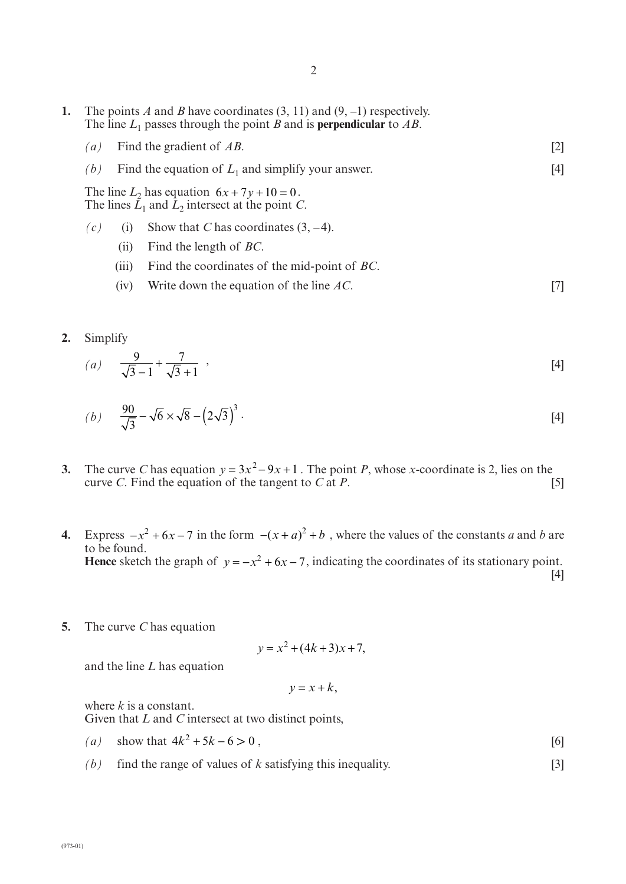- **1.** The points *A* and *B* have coordinates (3, 11) and (9, –1) respectively. The line  $L_1$  passes through the point *B* and is **perpendicular** to *AB*. *(a)* Find the gradient of *AB*. [2] *(b)* Find the equation of  $L_1$  and simplify your answer. [4] The line  $L_2$  has equation  $6x + 7y + 10 = 0$ . The lines  $\hat{L}_1$  and  $\hat{L}_2$  intersect at the point *C*.  $(c)$  (i) Show that *C* has coordinates (3, -4). (ii) Find the length of *BC*. (iii) Find the coordinates of the mid-point of *BC*.
	- (iv) Write down the equation of the line *AC*. [7]
- **2.** Simplify

(a) 
$$
\frac{9}{\sqrt{3}-1} + \frac{7}{\sqrt{3}+1}
$$
, [4]

(b) 
$$
\frac{90}{\sqrt{3}} - \sqrt{6} \times \sqrt{8} - (2\sqrt{3})^3
$$
. [4]

- **3.** The curve *C* has equation  $y = 3x^2 9x + 1$ . The point *P*, whose *x*-coordinate is 2, lies on the curve *C*. Find the equation of the tangent to *C* at *P*.  $[5]$
- **4.** Express  $-x^2 + 6x 7$  in the form  $-(x + a)^2 + b$ , where the values of the constants *a* and *b* are to be found. **Hence** sketch the graph of  $y = -x^2 + 6x - 7$ , indicating the coordinates of its stationary point. [4]
- **5.** The curve *C* has equation

$$
y = x^2 + (4k + 3)x + 7,
$$

and the line *L* has equation

$$
y = x + k,
$$

where *k* is a constant. Given that *L* and *C* intersect at two distinct points,

- *(a)* show that  $4k^2 + 5k 6 > 0$ , [6]
- *(b)* find the range of values of *k* satisfying this inequality. [3]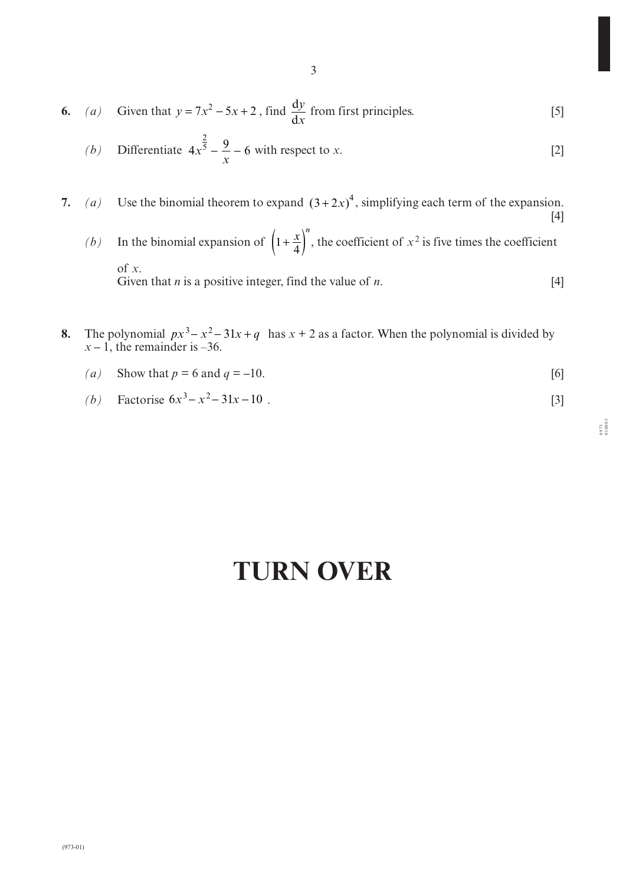6. (a) Given that 
$$
y = 7x^2 - 5x + 2
$$
, find  $\frac{dy}{dx}$  from first principles. [5]

(b) Differentiate 
$$
4x^{\frac{2}{5}} - \frac{9}{x} - 6
$$
 with respect to x. [2]

7. (a) Use the binomial theorem to expand  $(3+2x)^4$ , simplifying each term of the expansion. [4]

*(b)* In the binomial expansion of  $\left(1 + \frac{x}{4}\right)^n$ , the coefficient of  $x^2$  is five times the coefficient of *x*. Given that *n* is a positive integer, find the value of *n*. [4]

- **8.** The polynomial  $px^3 x^2 31x + q$  has  $x + 2$  as a factor. When the polynomial is divided by  $x - 1$ , the remainder is –36.
	- *(a)* Show that  $p = 6$  and  $q = -10$ . [6]
	- (b) Factorise  $6x^3 x^2 31x 10$ . [3]

# **TURN OVER**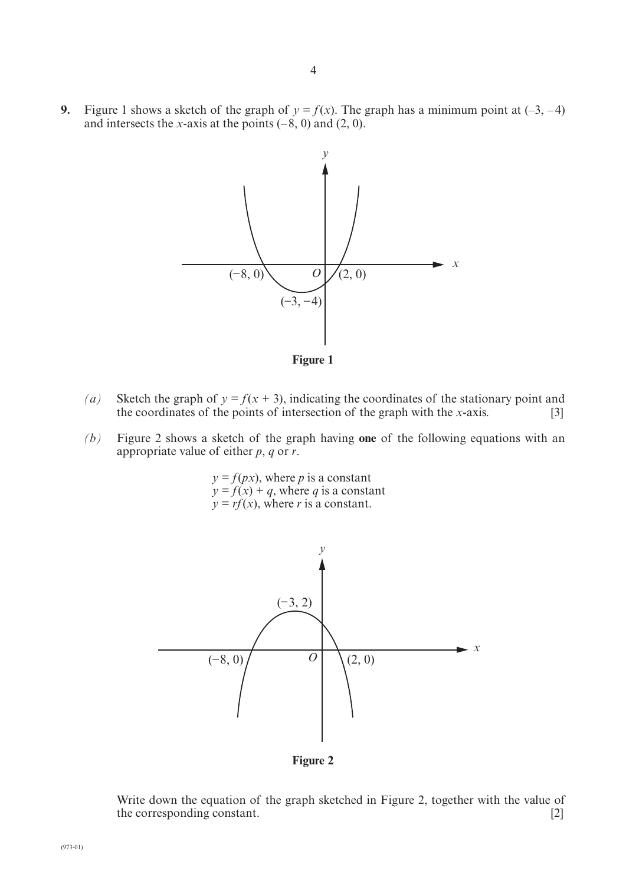**9.** Figure 1 shows a sketch of the graph of  $y = f(x)$ . The graph has a minimum point at  $(-3, -4)$ and intersects the *x*-axis at the points  $(-8, 0)$  and  $(2, 0)$ .



**Figure 1**

- (*a*) Sketch the graph of  $y = f(x + 3)$ , indicating the coordinates of the stationary point and the coordinates of the points of intersection of the graph with the *x*-axis. [3]
- *(b)* Figure 2 shows a sketch of the graph having **one** of the following equations with an appropriate value of either *p*, *q* or *r*.

 $y = f(px)$ , where *p* is a constant  $y = f(x) + q$ , where *q* is a constant  $y = rf(x)$ , where *r* is a constant.



**Figure 2**

Write down the equation of the graph sketched in Figure 2, together with the value of the corresponding constant. [2]